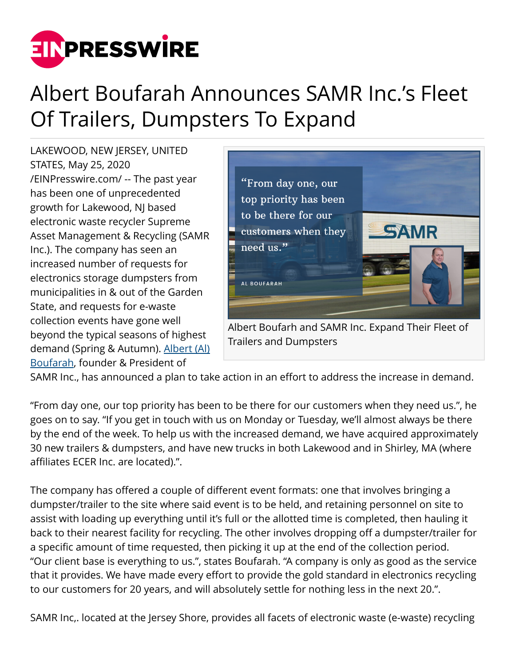

## Albert Boufarah Announces SAMR Inc.'s Fleet Of Trailers, Dumpsters To Expand

LAKEWOOD, NEW JERSEY, UNITED STATES, May 25, 2020 [/EINPresswire.com/](http://www.einpresswire.com) -- The past year has been one of unprecedented growth for Lakewood, NJ based electronic waste recycler Supreme Asset Management & Recycling (SAMR Inc.). The company has seen an increased number of requests for electronics storage dumpsters from municipalities in & out of the Garden State, and requests for e-waste collection events have gone well beyond the typical seasons of highest demand (Spring & Autumn). [Albert \(Al\)](https://www.albertboufarah.com/) [Boufarah,](https://www.albertboufarah.com/) founder & President of



SAMR Inc., has announced a plan to take action in an effort to address the increase in demand.

"From day one, our top priority has been to be there for our customers when they need us.", he goes on to say. "If you get in touch with us on Monday or Tuesday, we'll almost always be there by the end of the week. To help us with the increased demand, we have acquired approximately 30 new trailers & dumpsters, and have new trucks in both Lakewood and in Shirley, MA (where affiliates ECER Inc. are located).".

The company has offered a couple of different event formats: one that involves bringing a dumpster/trailer to the site where said event is to be held, and retaining personnel on site to assist with loading up everything until it's full or the allotted time is completed, then hauling it back to their nearest facility for recycling. The other involves dropping off a dumpster/trailer for a specific amount of time requested, then picking it up at the end of the collection period. "Our client base is everything to us.", states Boufarah. "A company is only as good as the service that it provides. We have made every effort to provide the gold standard in electronics recycling to our customers for 20 years, and will absolutely settle for nothing less in the next 20.".

SAMR Inc,. located at the Jersey Shore, provides all facets of electronic waste (e-waste) recycling